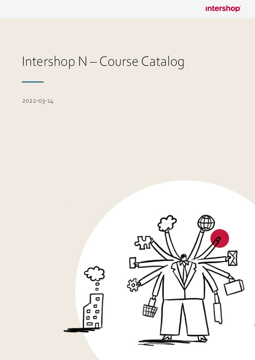**Intershop®** 

# Intershop N – Course Catalog

2022-03-14

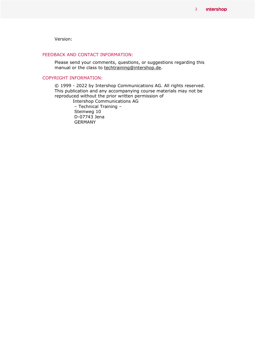Version:

#### FEEDBACK AND CONTACT INFORMATION:

Please send your comments, questions, or suggestions regarding this manual or the class to techtraining@intershop.de.

#### COPYRIGHT INFORMATION:

© 1999 - 2022 by Intershop Communications AG. All rights reserved. This publication and any accompanying course materials may not be reproduced without the prior written permission of

Intershop Communications AG – Technical Training – Steinweg 10 D-07743 Jena GERMANY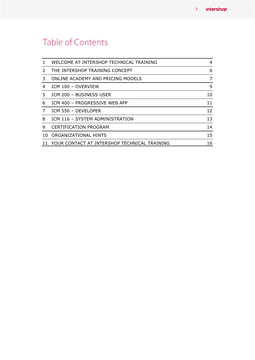# Table of Contents

|               | WELCOME AT INTERSHOP TECHNICAL TRAINING      | 4  |
|---------------|----------------------------------------------|----|
| $\mathcal{L}$ | THE INTERSHOP TRAINING CONCEPT               | 6  |
| 3             | ONLINE ACADEMY AND PRICING MODELS            | 7  |
| 4             | ICM 100 - OVERVIEW                           | 9  |
| 5.            | ICM 200 - BUSINESS USER                      | 10 |
| 6             | ICM 400 - PROGRESSIVE WEB APP                | 11 |
|               | ICM 550 - DEVELOPER                          | 12 |
| 8             | ICM 116 - SYSTEM ADMINISTRATION              | 13 |
| 9             | <b>CERTIFICATION PROGRAM</b>                 | 14 |
| 10.           | ORGANIZATIONAL HINTS                         | 15 |
|               | YOUR CONTACT AT INTERSHOP TECHNICAL TRAINING | 16 |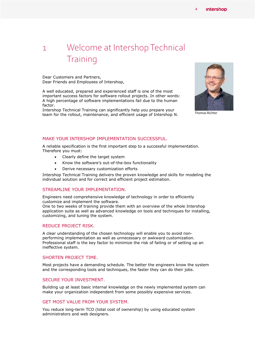### <span id="page-3-0"></span>1 Welcome at Intershop Technical **Training**

Dear Customers and Partners, Dear Friends and Employees of Intershop,

A well educated, prepared and experienced staff is one of the most important success factors for software rollout projects. In other words: A high percentage of software implementations fail due to the human factor.

Intershop Technical Training can significantly help you prepare your team for the rollout, maintenance, and efficient usage of Intershop N.



Thomas Richter

#### MAKE YOUR INTERSHOP IMPLEMENTATION SUCCESSFUL.

A reliable specification is the first important step to a successful implementation. Therefore you must:

- Clearly define the target system
- Know the software's out-of-the-box functionality
- Derive necessary customization efforts

Intershop Technical Training delivers the proven knowledge and skills for modeling the individual solution and for correct and efficient project estimation.

#### STREAMLINE YOUR IMPLEMENTATION.

Engineers need comprehensive knowledge of technology in order to efficiently customize and implement the software.

One to two weeks of training provide them with an overview of the whole Intershop application suite as well as advanced knowledge on tools and techniques for installing, customizing, and tuning the system.

#### REDUCE PROJECT RISK.

A clear understanding of the chosen technology will enable you to avoid nonperforming implementation as well as unnecessary or awkward customization. Professional staff is the key factor to minimize the risk of failing or of setting up an ineffective system.

#### SHORTEN PROJECT TIME.

Most projects have a demanding schedule. The better the engineers know the system and the corresponding tools and techniques, the faster they can do their jobs.

#### SECURE YOUR INVESTMENT.

Building up at least basic internal knowledge on the newly implemented system can make your organization independent from some possibly expensive services.

#### GET MOST VALUE FROM YOUR SYSTEM.

You reduce long-term TCO (total cost of ownership) by using educated system administrators and web designers.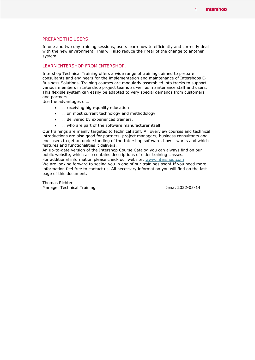#### PREPARE THE USERS.

In one and two day training sessions, users learn how to efficiently and correctly deal with the new environment. This will also reduce their fear of the change to another system.

#### LEARN INTERSHOP FROM INTERSHOP.

Intershop Technical Training offers a wide range of trainings aimed to prepare consultants and engineers for the implementation and maintenance of Intershops E-Business Solutions. Training courses are modularly assembled into tracks to support various members in Intershop project teams as well as maintenance staff and users. This flexible system can easily be adapted to very special demands from customers and partners.

Use the advantages of…

- … receiving high-quality education
- … on most current technology and methodology
- … delivered by experienced trainers,
- … who are part of the software manufacturer itself.

Our trainings are mainly targeted to technical staff. All overview courses and technical introductions are also good for partners, project managers, business consultants and end-users to get an understanding of the Intershop software, how it works and which features and functionalities it delivers.

An up-to-date version of the Intershop Course Catalog you can always find on our public website, which also contains descriptions of older training classes.

For additional information please check our website: [www.intershop.com](http://www.intershop.com/)

We are looking forward to seeing you in one of our trainings soon! If you need more information feel free to contact us. All necessary information you will find on the last page of this document.

Thomas Richter Manager Technical Training Technical Training Communical Structure of the Unit of the Jena, 2022-03-14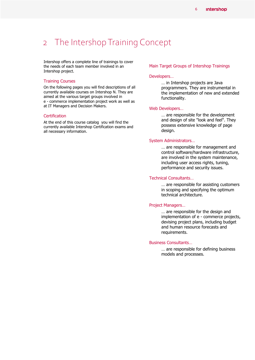### <span id="page-5-0"></span>2 The Intershop Training Concept

Intershop offers a complete line of trainings to cover the needs of each team member involved in an Intershop project.

#### Training Courses

On the following pages you will find descriptions of all currently available courses on Intershop N. They are aimed at the various target groups involved in e - commerce implementation project work as well as at IT Managers and Decision Makers.

#### **Certification**

At the end of this course catalog you will find the currently available Intershop Certification exams and all necessary information.

#### Main Target Groups of Intershop Trainings

#### Developers…

… in Intershop projects are Java programmers. They are instrumental in the implementation of new and extended functionality.

#### Web Developers…

… are responsible for the development and design of site "look and feel". They possess extensive knowledge of page design.

#### System Administrators…

… are responsible for management and control software/hardware infrastructure, are involved in the system maintenance, including user access rights, tuning, performance and security issues.

#### Technical Consultants…

… are responsible for assisting customers in scoping and specifying the optimum technical architecture.

#### Project Managers…

… are responsible for the design and implementation of e - commerce projects, devising project plans, including budget and human resource forecasts and requirements.

#### Business Consultants…

… are responsible for defining business models and processes.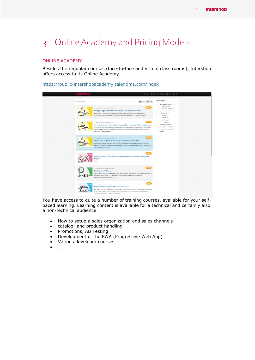# <span id="page-6-0"></span>3 Online Academy and Pricing Models

#### ONLINE ACADEMY

Besides the regualar courses (face-to-face and virtual class rooms), Intershop offers access to its Online Academy.

<https://public-intershopacademy.talentlms.com/index>

| <b>Intershop</b>                                                                                                                                                                                                                              | Startseite Cookies Kurskatalog Signup Login >)                                                                                                                                                                                                                                                                                                                                                                                                   |
|-----------------------------------------------------------------------------------------------------------------------------------------------------------------------------------------------------------------------------------------------|--------------------------------------------------------------------------------------------------------------------------------------------------------------------------------------------------------------------------------------------------------------------------------------------------------------------------------------------------------------------------------------------------------------------------------------------------|
| Search courses<br>. / Intershop Controlera Management / Deutsch<br>$\prec$<br>Richtiger Umgang mit Produkten in Ihrer IS7 eCommerce Plattform asset<br>Dieses Training vermittelt Grundlagen zum Umgang mit der Intershop Commerce Management | CATEGORIES<br>田田<br><b>B</b> Name<br>Business User Trainin (30)<br>Free Courses (22)<br><b>E150.00</b><br>> Intershop Commerc (6)<br>Intershop Order M., (2)<br>Free Tutorials (19)<br>Applikation. Die Zielgruppe dieses Trainings sind Personen, die tagtaglich mit dieser Applikation<br>Support (15)<br>- Training (4)                                                                                                                       |
| . / Imarshop Commerce Management / Decision<br>ihnen diese Funktionen anhand                                                                                                                                                                  | Deutsch (1)<br>€150.00<br>English (9)<br>Technical Trainings (7)<br>Vertriebsförderung - Wie man den Umsatz auf der Intershop7 Platform steigert (42008)<br>> Intershop Commerc (4)<br>In diesem Training lernen Sie die Benutzung intergrierter Funktionen zur Verkausförderung. Sie lernen mit<br>> Intershop Progres (3)<br>welchen Mitteln Sie die Ansprüche ihrer Endkunden und Geschäftskunden erfüllen können. Wir stellen<br>General (1) |
| / Improved Commerce Management / Deutsch<br>$\rightarrow$<br>Wie man B2B Shops mit der Intershop Commerce Suite verwaltet issoo<br>speziellen Anforderungen des                                                                               | E £150.00<br>Mit der Omni-Channel Commerce Suite von intershop verwalten Sie komplexe Vertriebsstrukturen und<br>bieten ihren Kunden ein zeitgemäßes Einkaufserlebnis. Intershop Extended B2B erfüllt darüber hinaus die                                                                                                                                                                                                                         |
| / Intestop Commerce Management / Deutsch<br>Projekte<br>(42184)                                                                                                                                                                               | 4150.00<br>Modularisierungs- und Code-Entwicklungsstrategien für Intershop7 eCommerce                                                                                                                                                                                                                                                                                                                                                            |
| . / Imarshep Commerce Management / Deutsch<br>Solr-Suche und ICM (62204)<br>Konfiguration Such Indexe  Ihr Feedback ist uns wichtig, um unsere Trainings permanent<br>weiterzuentwickeln. Probleren Sie es                                    | €150.00<br>Dieses Training stellt die Suche mittels Solr vor. Neben anderen Themen werden auch abgehandelt: Service                                                                                                                                                                                                                                                                                                                              |
| / Imarshop Order Management / Deutsch<br>Intershop Order Management für Business User<br>verdeutlichen, könnten wir sagen, das Intershop                                                                                                      | 650.00<br>Das IOM ist eines der Hauptprodukte von Intershop. Definitionsgemäß ist IOM die Abkürzung für Intershop<br>Order Management, ein Order Management System (OMS). Um das Konzept der Namensgebung zu                                                                                                                                                                                                                                     |

You have access to quite a number of training courses, available for your selfpaced learning. Learning content is available for a technical and certainly also a non-technical audience.

- How to setup a sales organization and sales channels
- catalog- and product handling
- Promotions, AB Testing
- Development of the PWA (Progressive Web App)
- Various developer courses
- …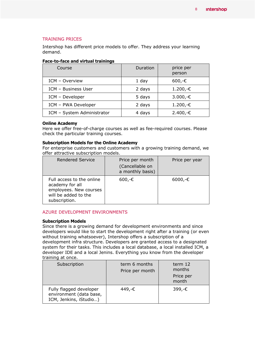#### TRAINING PRICES

Intershop has different price models to offer. They address your learning demand.

#### **Face-to-face and virtual trainings**

| Course                     | Duration | price per<br>person |
|----------------------------|----------|---------------------|
| ICM - Overview             | 1 day    | $600,-€$            |
| ICM - Business User        | 2 days   | $1.200,-€$          |
| ICM - Developer            | 5 days   | 3.000,-€            |
| ICM - PWA Developer        | 2 days   | $1.200,-€$          |
| ICM - System Administrator | 4 days   | $2.400,-€$          |

#### **Online Academy**

Here we offer free-of-charge courses as well as fee-required courses. Please check the particular training courses.

#### **Subscription Models for the Online Academy**

For enterprise customers and customers with a growing training demand, we offer attractive subscription models.

| <b>Rendered Service</b>                                                                                         | Price per month<br>(Cancellable on<br>a monthly basis) | Price per year |
|-----------------------------------------------------------------------------------------------------------------|--------------------------------------------------------|----------------|
| Full access to the online<br>academy for all<br>employees. New courses<br>will be added to the<br>subscription. | $600,-€$                                               | $6000,-€$      |

#### AZURE DEVELOPMENT ENVIRONMENTS

#### **Subscription Models**

Since there is a growing demand for development environments and since developers would like to start the development right after a training (or even without training whatsoever), Intershop offers a subscription of a development infra structure. Developers are granted access to a designated system for their tasks. This includes a local database, a local installed ICM, a developer IDE and a local Jenins. Everything you know from the developer training at once.

| Subscription                                                                 | term 6 months<br>Price per month | term 12<br>months<br>Price per<br>month |
|------------------------------------------------------------------------------|----------------------------------|-----------------------------------------|
| Fully flagged developer<br>environment (data base,<br>ICM, Jenkins, iStudio) | 449.-€                           | 399,-€                                  |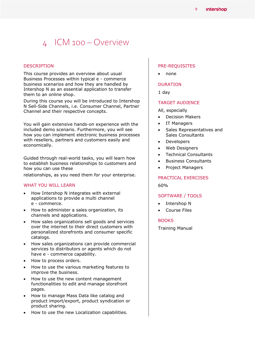### <span id="page-8-0"></span>4 ICM 100 – Overview

#### DESCRIPTION

This course provides an overview about usual Business Processes within typical e - commerce business scenarios and how they are handled by Intershop N as an essential application to transfer them to an online shop.

During this course you will be introduced to Intershop N Sell-Side Channels, i.e. Consumer Channel, Partner Channel and their respective concepts.

You will gain extensive hands-on experience with the included demo scenario. Furthermore, you will see how you can implement electronic business processes with resellers, partners and customers easily and economically.

Guided through real-world tasks, you will learn how to establish business relationships to customers and how you can use these

relationships, as you need them for your enterprise.

#### WHAT YOU WILL LEARN

- How Intershop N integrates with external applications to provide a multi channel e - commerce.
- How to administer a sales organization, its channels and applications.
- How sales organizations sell goods and services over the internet to their direct customers with personalized storefronts and consumer specific catalogs.
- How sales organizations can provide commercial services to distributors or agents which do not have e - commerce capability.
- How to process orders.
- How to use the various marketing features to improve the business.
- How to use the new content management functionalities to edit and manage storefront pages.
- How to manage Mass Data like catalog and product import/export, product syndication or product sharing.
- How to use the new Localization capabilities.

#### PRE-REQUISITES

• none

#### DURATION

1 day

#### TARGET AUDIENCE

All, especially

- Decision Makers
- IT Managers
- Sales Representatives and Sales Consultants
- Developers
- Web Designers
- Technical Consultants
- Business Consultants
- Project Managers

#### PRACTICAL EXERCISES

60%

#### SOFTWARE / TOOLS

- Intershop N
- Course Files

#### BOOKS

Training Manual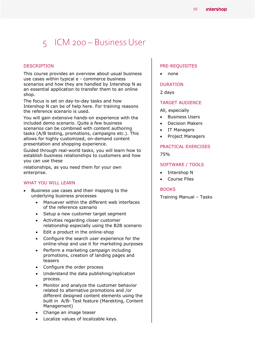# <span id="page-9-0"></span>5 ICM 200 – Business User

#### DESCRIPTION

This course provides an overview about usual business use cases within typical e - commerce business scenarios and how they are handled by Intershop N as an essential application to transfer them to an online shop.

The focus is set on day-to-day tasks and how Intershop N can be of help here. For training reasons the reference scenario is used.

You will gain extensive hands-on experience with the included demo scenario. Quite a few business scenarios can be combined with content authoring tasks (A/B testing, promotions, campaigns etc.). This allows for highly customized, on-demand content presentation and shopping experience.

Guided through real-world tasks, you will learn how to establish business relationships to customers and how you can use these

relationships, as you need them for your own enterprise.

#### WHAT YOU WILL LEARN

- Business use cases and their mapping to the underlying business processes
	- Manuever within the different web interfaces of the reference szenario
	- Setup a new customer target segment
	- Activities regarding closer customer relationship especially using the B2B scenario
	- Edit a product in the online-shop
	- Configure the search user experience for the online-shop and use it for marketing purposes
	- Perform a marketing campaign including promotions, creation of landing pages and teasers
	- Configure the order process
	- Understand the data publishing/replication process.
	- Monitor and analyze the customer behavior related to alternative promotions and /or different designed content elements using the built in A/B- Test feature (Marekting, Content Management)
	- Change an image teaser
	- Localize values of localizable keys.

#### PRE-REQUISITES

none

#### DURATION

2 days

#### TARGET AUDIENCE

All, especially

- Business Users
- Decision Makers
- IT Managers
- Project Managers

#### PRACTICAL EXERCISES

75%

#### SOFTWARE / TOOLS

- Intershop N
- Course Files

#### **BOOKS**

Training Manual – Tasks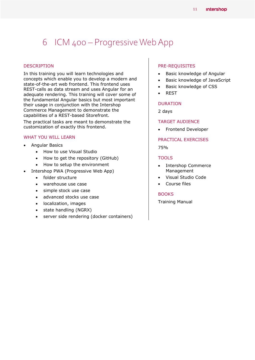### <span id="page-10-0"></span>6 ICM 400 – Progressive Web App

#### DESCRIPTION

In this training you will learn technologies and concepts which enable you to develop a modern and state-of-the-art web frontend. This frontend uses REST-calls as data stream and uses Angular for an adequate rendering. This training will cover some of the fundamental Angular basics but most important their usage in conjunction with the Intershop Commerce Management to demonstrate the capabilities of a REST-based Storefront.

The practical tasks are meant to demonstrate the customization of exactly this frontend.

#### WHAT YOU WILL LEARN

- Angular Basics
	- How to use Visual Studio
	- How to get the repository (GitHub)
	- How to setup the environment
- Intershop PWA (Progressive Web App)
	- folder structure
	- warehouse use case
	- simple stock use case
	- advanced stocks use case
	- localization, images
	- state handling (NGRX)
	- server side rendering (docker containers)

#### PRE-REQUISITES

- Basic knowledge of Angular
- Basic knowledge of JavaScript
- Basic knowledge of CSS
- REST

#### DURATION

2 days

#### TARGET AUDIENCE

• Frontend Developer

PRACTICAL EXERCISES 75%

#### TOOLS

- Intershop Commerce Management
- Visual Studio Code
- Course files

#### **BOOKS**

Training Manual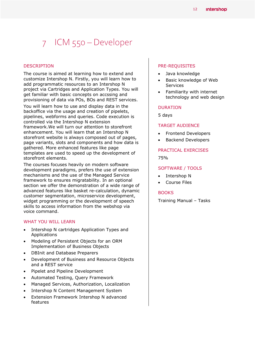# <span id="page-11-0"></span>7 ICM 550 – Developer

#### DESCRIPTION

The course is aimed at learning how to extend and customize Intershop N. Firstly, you will learn how to add programmatic resources to an Intershop N project via Cartridges and Application Types. You will get familiar with basic concepts on accssing and provisioning of data via POs, BOs and REST services.

You will learn how to use and display data in the backoffice via the usage and creation of pipelets, pipelines, webforms and queries. Code execution is controlled via the Intershop N extension framework.We will turn our attention to storefront enhancement. You will learn that an Intershop N storefront website is always composed out of pages, page variants, slots and components and how data is gathered. More enhanced features like page templates are used to speed up the development of storefront elements.

The courses focuses heavily on modern software development paradigms, prefers the use of extension mechanisms and the use of the Managed Service framework to ensures migratability. In an optional section we offer the demonstration of a wide range of advanced features like basket re-calculation, dynamic customer segmentation, microservice development, widget programming or the development of speech skills to access information from the webshop via voice command.

#### WHAT YOU WILL LEARN

- Intershop N cartridges Application Types and Applications
- Modeling of Persistent Objects for an ORM Implementation of Business Objects
- DBInit and Database Preparers
- Development of Business and Resource Objects and a REST service
- Pipelet and Pipeline Development
- Automated Testing, Query Framework
- Managed Services, Authorization, Localization
- Intershop N Content Management System
- Extension Framework Intershop N advanced features

#### PRE-REQUISITES

- Java knowledge
- Basic knowledge of Web Services
- Familiarity with internet technology and web design

#### DURATION

5 days

#### TARGET AUDIENCE

- Frontend Developers
- Backend Developers

#### PRACTICAL EXERCISES

75%

#### SOFTWARE / TOOLS

- Intershop N
- Course Files

#### **BOOKS**

Training Manual – Tasks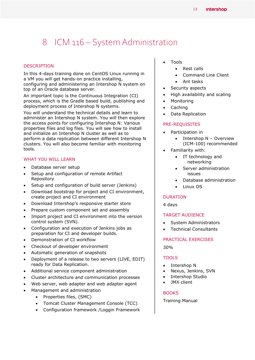## <span id="page-12-0"></span>8 ICM 116 – System Administration

#### DESCRIPTION

In this 4-days training done on CentOS Linux running in a VM you will get hands-on practice installing, configuring and administering an Intershop N system on top of an Oracle database server.

An important topic is the Continuous Integration (CI) process, which is the Gradle based build, publishing and deployment process of Intershop N systems.

You will understand the technical details and learn to administer an Intershop N system. You will then explore the access points for configuring Intershop N: Various properties files and log files. You will see how to install and initialize an Intershop N cluster as well as to perform a data replication between different Intershop N clusters. You will also become familiar with monitoring tools.

#### WHAT YOU WILL LEARN

- Database server setup
- Setup and configuration of remote Artifact Repository
- Setup and configuration of build server (Jenkins)
- Download bootstrap for project and CI environment, create project and CI environment
- Download Intershop's responsive starter store
- Prepare custom component set and assembly
- Import project and CI environment into the version control system (SVN).
- Configuration and execution of Jenkins jobs as preparation for CI and developer builds.
- Demonstration of CI workflow
- Checkout of developer environment
- Automatic generation of snapshots
- Deployment of a release to two servers (LIVE, EDIT) ready for Data Replication.
- Additional service component administration
- Cluster architecture and communication processes
- Web server, web adapter and web adapter agent
- Management and administration
	- Properties files, (SMC)
	- Tomcat Cluster Management Console (TCC)
	- Configuration framework /Loggin Framework
- Tools
	- Rest calls
	- Command Line Client
	- Ant tasks
- Security aspects
- High availability and scaling
- Monitoring
- Caching
- Data Replication

#### PRE-REQUISITES

- Participation in
	- Intershop N Overview (ICM-100) recommended
- Familiarity with:
	- IT technology and networking
	- Server administration issues
	- Database administration
	- Linux OS

#### DURATION

4 days

#### TARGET AUDIENCE

- System Administrators
- Technical Consultants

#### PRACTICAL EXERCISES

30%

#### **TOOLS**

- Intershop N
- Nexus, Jenkins, SVN
- Intershop Studio
- JMX client

#### **BOOKS**

Training Manual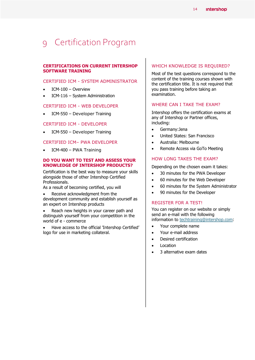### <span id="page-13-0"></span>9 Certification Program

#### **CERTIFICATIONS ON CURRENT INTERSHOP SOFTWARE TRAINING**

#### CERTIFIED ICM - SYSTEM ADMINISTRATOR

- ICM-100 Overview
- ICM-116 System Administration

#### CERTIFIED ICM - WEB DEVELOPER

ICM-550 – Developer Training

#### CERTIFIED ICM - DEVELOPER

ICM-550 – Developer Training

#### CERTIFIED ICM– PWA DEVELOPER

ICM-400 – PWA Training

#### **DO YOU WANT TO TEST AND ASSESS YOUR KNOWLEDGE OF INTERSHOP PRODUCTS?**

Certification is the best way to measure your skills alongside those of other Intershop Certified Professionals.

As a result of becoming certified, you will

 Receive acknowledgment from the development community and establish yourself as an expert on Intershop products

 Reach new heights in your career path and distinguish yourself from your competition in the world of e - commerce

 Have access to the official 'Intershop Certified' logo for use in marketing collateral.

#### WHICH KNOWLEDGE IS REQUIRED?

Most of the test questions correspond to the content of the training courses shown with the certification title. It is not required that you pass training before taking an examination.

#### WHERE CAN I TAKE THE EXAM?

Intershop offers the certification exams at any of Intershop or Partner offices, including:

- Germany:Jena
- United States: San Francisco
- Australia: Melbourne
- Remote Access via GoTo Meeting

#### HOW LONG TAKES THE EXAM?

Depending on the chosen exam it takes:

- 30 minutes for the PWA Developer
- 60 minutes for the Web Developer
- 60 minutes for the System Administrator
- 90 minutes for the Developer

#### REGISTER FOR A TEST!

You can register on our website or simply send an e-mail with the following information to [techtraining@intershop.com:](mailto:techtraining@intershop.com?subject=Intershop%20Certification)

- Your complete name
- Your e-mail address
- Desired certification
- Location
- 3 alternative exam dates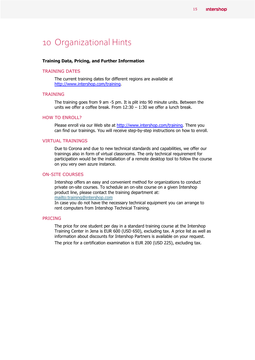### <span id="page-14-0"></span>10 Organizational Hints

#### **Training Data, Pricing, and Further Information**

#### TRAINING DATES

The current training dates for different regions are available at [http://www.intershop.com/training.](http://www.intershop.com/training)

#### **TRAINING**

The training goes from 9 am -5 pm. It is plit into 90 minute units. Between the units we offer a coffee break. From  $12:30 - 1:30$  we offer a lunch break.

#### HOW TO ENROLL?

Please enroll via our Web site at [http://www.intershop.com/training.](http://www.intershop.com/training) There you can find our trainings. You will receive step-by-step instructions on how to enroll.

#### VIRTUAL TRAININGS

Due to Corona and due to new technical standards and capabilities, we offer our trainings also in form of virtual classrooms. The only technical requirement for participation would be the installation of a remote desktop tool to follow the course on you very own azure instance.

#### ON-SITE COURSES

Intershop offers an easy and convenient method for organizations to conduct private on-site courses. To schedule an on-site course on a given Intershop product line, please contact the training department at: <mailto:training@intershop.com>

In case you do not have the necessary technical equipment you can arrange to rent computers from Intershop Technical Training.

#### PRICING

The price for one student per day in a standard training course at the Intershop Training Center in Jena is EUR 600 (USD 650), excluding tax. A price list as well as information about discounts for Intershop Partners is available on your request. The price for a certification examination is EUR 200 (USD 225), excluding tax.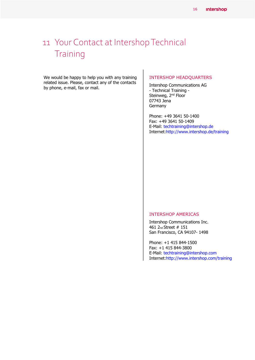# <span id="page-15-0"></span>11 Your Contact at Intershop Technical **Training**

We would be happy to help you with any training related issue. Please, contact any of the contacts by phone, e-mail, fax or mail.

#### INTERSHOP HEADQUARTERS

Intershop Communications AG - Technical Training - Steinweg, 2<sup>nd</sup> Floor 07743 Jena Germany

Phone: +49 3641 50-1400 Fax: +49 3641 50-1409 E-Mail: techtraining@intershop.de Internet:http://www.intershop.de/training

#### INTERSHOP AMERICAS

Intershop Communications Inc. 461 2nd Street # 151 San Francisco, CA 94107- 1498

Phone: +1 415 844-1500 Fax: +1 415 844-3800 E-Mail: techtraining@intershop.com Internet:http://www.intershop.com/training